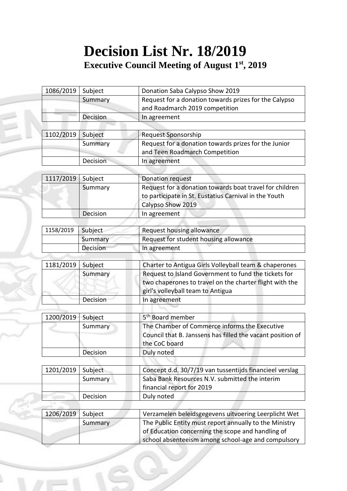## **Decision List Nr. 18/2019 Executive Council Meeting of August 1 st, 2019**

| 1086/2019 | Subject  | Donation Saba Calypso Show 2019                                                                                  |
|-----------|----------|------------------------------------------------------------------------------------------------------------------|
|           | Summary  | Request for a donation towards prizes for the Calypso                                                            |
|           |          | and Roadmarch 2019 competition                                                                                   |
|           | Decision | In agreement                                                                                                     |
|           |          |                                                                                                                  |
| 1102/2019 | Subject  | Request Sponsorship                                                                                              |
|           | Summary  | Request for a donation towards prizes for the Junior                                                             |
|           |          | and Teen Roadmarch Competition                                                                                   |
|           | Decision | In agreement                                                                                                     |
|           |          |                                                                                                                  |
| 1117/2019 | Subject  | <b>Donation request</b>                                                                                          |
|           | Summary  | Request for a donation towards boat travel for children<br>to participate in St. Eustatius Carnival in the Youth |
|           |          | Calypso Show 2019                                                                                                |
|           | Decision | In agreement                                                                                                     |
|           |          |                                                                                                                  |
| 1158/2019 | Subject  | Request housing allowance                                                                                        |
|           | Summary  | Request for student housing allowance                                                                            |
|           | Decision | In agreement                                                                                                     |
| 1181/2019 | Subject  | Charter to Antigua Girls Volleyball team & chaperones                                                            |
|           |          |                                                                                                                  |
|           | Summary  | Request to Island Government to fund the tickets for<br>two chaperones to travel on the charter flight with the  |
|           |          | girl's volleyball team to Antigua                                                                                |
|           | Decision | In agreement                                                                                                     |
|           |          |                                                                                                                  |
| 1200/2019 | Subject  | 5 <sup>th</sup> Board member                                                                                     |
|           | Summary  | The Chamber of Commerce informs the Executive                                                                    |
|           |          | Council that B. Janssens has filled the vacant position of                                                       |
|           |          | the CoC board                                                                                                    |
|           | Decision | Duly noted                                                                                                       |
|           |          |                                                                                                                  |
| 1201/2019 | Subject  | Concept d.d. 30/7/19 van tussentijds financieel verslag                                                          |
|           | Summary  | Saba Bank Resources N.V. submitted the interim                                                                   |
|           |          | financial report for 2019                                                                                        |
|           | Decision | Duly noted                                                                                                       |
|           |          |                                                                                                                  |
| 1206/2019 | Subject  | Verzamelen beleidsgegevens uitvoering Leerplicht Wet                                                             |
|           | Summary  | The Public Entity must report annually to the Ministry                                                           |
|           |          | of Education concerning the scope and handling of                                                                |
|           |          | school absenteeism among school-age and compulsory                                                               |